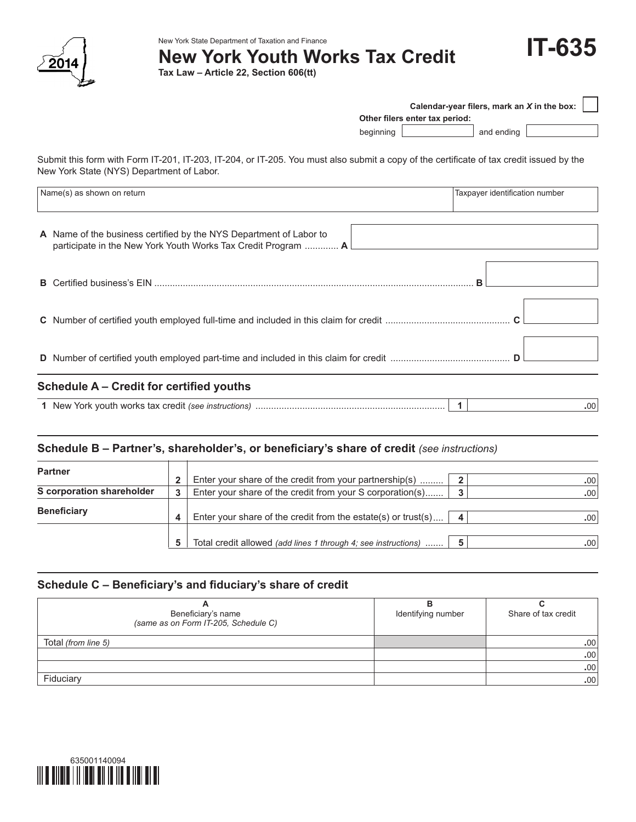

New York State Department of Taxation and Finance

 **New York Youth Works Tax Credit**

**Tax Law – Article 22, Section 606(tt)**



| Calendar-year filers, mark an X in the box: |                                |            |  |  |  |  |  |  |  |
|---------------------------------------------|--------------------------------|------------|--|--|--|--|--|--|--|
|                                             | Other filers enter tax period: |            |  |  |  |  |  |  |  |
| beginning                                   |                                | and ending |  |  |  |  |  |  |  |

Submit this form with Form IT-201, IT-203, IT-204, or IT-205. You must also submit a copy of the certificate of tax credit issued by the New York State (NYS) Department of Labor.

| Name(s) as shown on return                                                                                                          | Taxpayer identification number |
|-------------------------------------------------------------------------------------------------------------------------------------|--------------------------------|
| A Name of the business certified by the NYS Department of Labor to<br>participate in the New York Youth Works Tax Credit Program  A |                                |
|                                                                                                                                     |                                |
|                                                                                                                                     |                                |
|                                                                                                                                     |                                |
| <b>Schedule A – Credit for certified youths</b>                                                                                     |                                |

**1** New York youth works tax credit *(see instructions)* ......................................................................... **1 .**00

### **Schedule B – Partner's, shareholder's, or beneficiary's share of credit** *(see instructions)*

| <b>Partner</b>            |  |                                                                |                         |                  |
|---------------------------|--|----------------------------------------------------------------|-------------------------|------------------|
|                           |  | Enter your share of the credit from your partnership(s)        | 2                       | .00'             |
| S corporation shareholder |  | Enter your share of the credit from your S corporation(s)      | $\overline{\mathbf{3}}$ | .00 <sup>1</sup> |
|                           |  |                                                                |                         |                  |
| <b>Beneficiary</b>        |  | Enter your share of the credit from the estate(s) or trust(s)  | $\overline{\mathbf{4}}$ | .00              |
|                           |  |                                                                |                         |                  |
|                           |  | Total credit allowed (add lines 1 through 4; see instructions) |                         | .00'             |

# **Schedule C – Beneficiary's and fiduciary's share of credit**

| Beneficiary's name<br>(same as on Form IT-205, Schedule C) | Identifying number | Share of tax credit |
|------------------------------------------------------------|--------------------|---------------------|
| Total (from line 5)                                        |                    | .00 <sub>1</sub>    |
|                                                            |                    | .00                 |
|                                                            |                    | .00                 |
| Fiduciary                                                  |                    | .00                 |